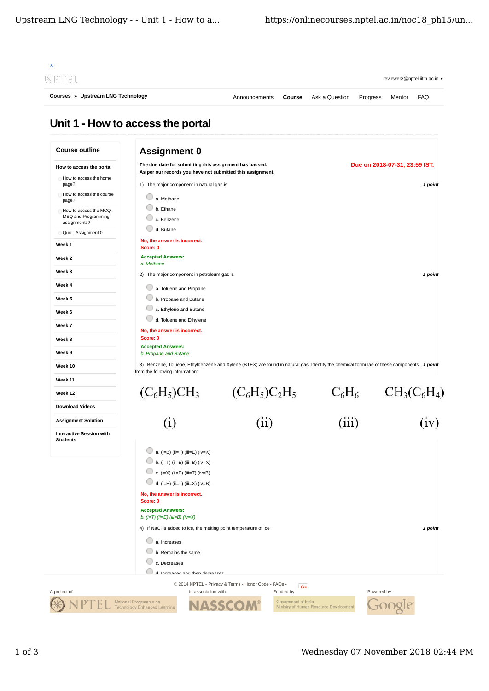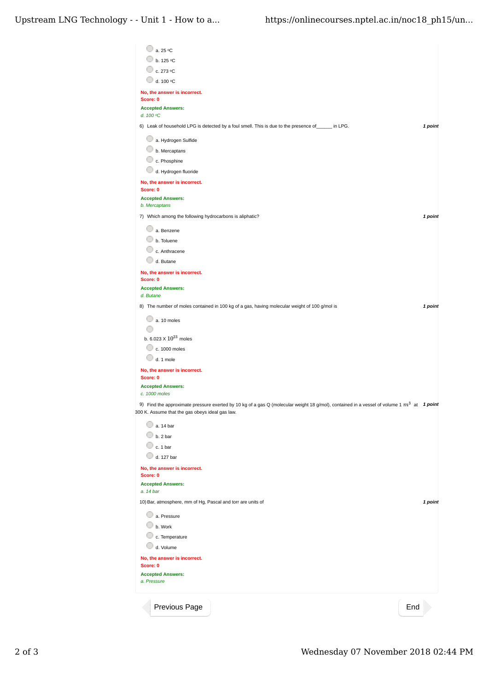| □ a. 25 °C                                                                                                                                   |         |
|----------------------------------------------------------------------------------------------------------------------------------------------|---------|
| $\circ$ b. 125 °C                                                                                                                            |         |
| 0<br>c. 273 °C                                                                                                                               |         |
| 0<br>d. 100 °C                                                                                                                               |         |
| No, the answer is incorrect.<br>Score: 0                                                                                                     |         |
| <b>Accepted Answers:</b>                                                                                                                     |         |
| d. 100 °C                                                                                                                                    |         |
| 6) Leak of household LPG is detected by a foul smell. This is due to the presence of ______ in LPG.                                          | 1 point |
| a. Hydrogen Sulfide                                                                                                                          |         |
| b. Mercaptans                                                                                                                                |         |
| c. Phosphine                                                                                                                                 |         |
| d. Hydrogen fluoride                                                                                                                         |         |
| No, the answer is incorrect.                                                                                                                 |         |
| Score: 0<br><b>Accepted Answers:</b>                                                                                                         |         |
| b. Mercaptans                                                                                                                                |         |
| 7) Which among the following hydrocarbons is aliphatic?                                                                                      | 1 point |
| a. Benzene                                                                                                                                   |         |
| b. Toluene                                                                                                                                   |         |
| c. Anthracene                                                                                                                                |         |
| d. Butane                                                                                                                                    |         |
| No, the answer is incorrect.                                                                                                                 |         |
| Score: 0                                                                                                                                     |         |
| <b>Accepted Answers:</b><br>d. Butane                                                                                                        |         |
| 8) The number of moles contained in 100 kg of a gas, having molecular weight of 100 g/mol is                                                 | 1 point |
| a. 10 moles                                                                                                                                  |         |
|                                                                                                                                              |         |
| b. 6.023 $\times$ $10^{23}$ moles                                                                                                            |         |
| c. 1000 moles                                                                                                                                |         |
| d. 1 mole                                                                                                                                    |         |
| No, the answer is incorrect.<br>Score: 0                                                                                                     |         |
| <b>Accepted Answers:</b>                                                                                                                     |         |
| c. 1000 moles                                                                                                                                |         |
| 9) Find the approximate pressure exerted by 10 kg of a gas Q (molecular weight 18 g/mol), contained in a vessel of volume 1 $m^3$ at 1 point |         |
| 300 K. Assume that the gas obeys ideal gas law.                                                                                              |         |
| 0<br>a. 14 bar                                                                                                                               |         |
| b. 2 bar                                                                                                                                     |         |
| c. 1 bar                                                                                                                                     |         |
| d. 127 bar                                                                                                                                   |         |
| No, the answer is incorrect.<br>Score: 0                                                                                                     |         |
| <b>Accepted Answers:</b>                                                                                                                     |         |
| a. 14 bar                                                                                                                                    |         |
| 10) Bar, atmosphere, mm of Hg, Pascal and torr are units of                                                                                  | 1 point |
| a. Pressure                                                                                                                                  |         |
| b. Work                                                                                                                                      |         |
| c. Temperature                                                                                                                               |         |
| d. Volume                                                                                                                                    |         |
| No, the answer is incorrect.<br>Score: 0                                                                                                     |         |
| <b>Accepted Answers:</b>                                                                                                                     |         |
| a. Pressure                                                                                                                                  |         |
| End<br>Previous Page                                                                                                                         |         |